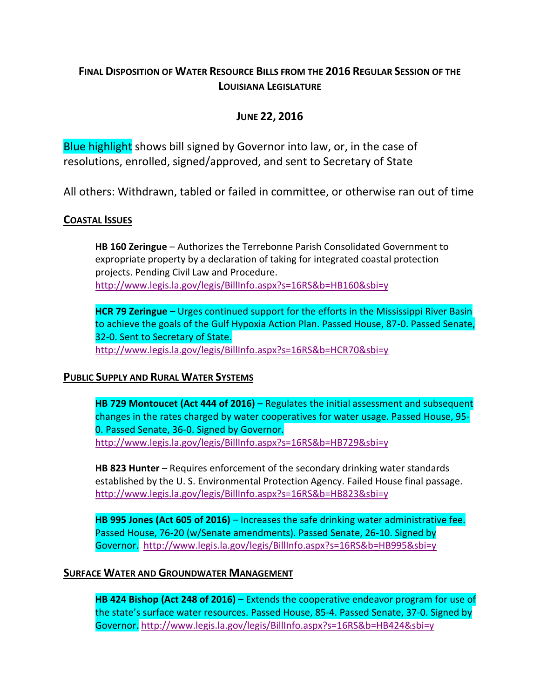# **FINAL DISPOSITION OF WATER RESOURCE BILLS FROM THE 2016 REGULAR SESSION OF THE LOUISIANA LEGISLATURE**

## **JUNE 22, 2016**

Blue highlight shows bill signed by Governor into law, or, in the case of resolutions, enrolled, signed/approved, and sent to Secretary of State

All others: Withdrawn, tabled or failed in committee, or otherwise ran out of time

### **COASTAL ISSUES**

**HB 160 Zeringue** – Authorizes the Terrebonne Parish Consolidated Government to expropriate property by a declaration of taking for integrated coastal protection projects. Pending Civil Law and Procedure. <http://www.legis.la.gov/legis/BillInfo.aspx?s=16RS&b=HB160&sbi=y>

**HCR 79 Zeringue** – Urges continued support for the efforts in the Mississippi River Basin to achieve the goals of the Gulf Hypoxia Action Plan. Passed House, 87-0. Passed Senate, 32-0. Sent to Secretary of State. <http://www.legis.la.gov/legis/BillInfo.aspx?s=16RS&b=HCR70&sbi=y>

### **PUBLIC SUPPLY AND RURAL WATER SYSTEMS**

**HB 729 Montoucet (Act 444 of 2016)** – Regulates the initial assessment and subsequent changes in the rates charged by water cooperatives for water usage. Passed House, 95- 0. Passed Senate, 36-0. Signed by Governor. <http://www.legis.la.gov/legis/BillInfo.aspx?s=16RS&b=HB729&sbi=y>

**HB 823 Hunter** – Requires enforcement of the secondary drinking water standards established by the U. S. Environmental Protection Agency. Failed House final passage. <http://www.legis.la.gov/legis/BillInfo.aspx?s=16RS&b=HB823&sbi=y>

**HB 995 Jones (Act 605 of 2016)** – Increases the safe drinking water administrative fee. Passed House, 76-20 (w/Senate amendments). Passed Senate, 26-10. Signed by Governor. <http://www.legis.la.gov/legis/BillInfo.aspx?s=16RS&b=HB995&sbi=y>

### **SURFACE WATER AND GROUNDWATER MANAGEMENT**

**HB 424 Bishop (Act 248 of 2016)** – Extends the cooperative endeavor program for use of the state's surface water resources. Passed House, 85-4. Passed Senate, 37-0. Signed by Governor. <http://www.legis.la.gov/legis/BillInfo.aspx?s=16RS&b=HB424&sbi=y>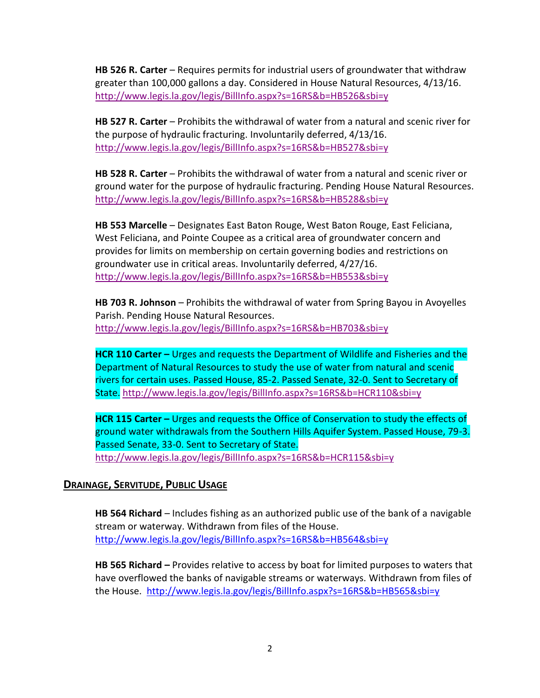**HB 526 R. Carter** – Requires permits for industrial users of groundwater that withdraw greater than 100,000 gallons a day. Considered in House Natural Resources, 4/13/16. <http://www.legis.la.gov/legis/BillInfo.aspx?s=16RS&b=HB526&sbi=y>

**HB 527 R. Carter** – Prohibits the withdrawal of water from a natural and scenic river for the purpose of hydraulic fracturing. Involuntarily deferred, 4/13/16. <http://www.legis.la.gov/legis/BillInfo.aspx?s=16RS&b=HB527&sbi=y>

**HB 528 R. Carter** – Prohibits the withdrawal of water from a natural and scenic river or ground water for the purpose of hydraulic fracturing. Pending House Natural Resources. <http://www.legis.la.gov/legis/BillInfo.aspx?s=16RS&b=HB528&sbi=y>

**HB 553 Marcelle** – Designates East Baton Rouge, West Baton Rouge, East Feliciana, West Feliciana, and Pointe Coupee as a critical area of groundwater concern and provides for limits on membership on certain governing bodies and restrictions on groundwater use in critical areas. Involuntarily deferred, 4/27/16. <http://www.legis.la.gov/legis/BillInfo.aspx?s=16RS&b=HB553&sbi=y>

**HB 703 R. Johnson** – Prohibits the withdrawal of water from Spring Bayou in Avoyelles Parish. Pending House Natural Resources. <http://www.legis.la.gov/legis/BillInfo.aspx?s=16RS&b=HB703&sbi=y>

**HCR 110 Carter –** Urges and requests the Department of Wildlife and Fisheries and the Department of Natural Resources to study the use of water from natural and scenic rivers for certain uses. Passed House, 85-2. Passed Senate, 32-0. Sent to Secretary of State. <http://www.legis.la.gov/legis/BillInfo.aspx?s=16RS&b=HCR110&sbi=y>

**HCR 115 Carter –** Urges and requests the Office of Conservation to study the effects of ground water withdrawals from the Southern Hills Aquifer System. Passed House, 79-3. Passed Senate, 33-0. Sent to Secretary of State. <http://www.legis.la.gov/legis/BillInfo.aspx?s=16RS&b=HCR115&sbi=y>

### **DRAINAGE, SERVITUDE, PUBLIC USAGE**

**HB 564 Richard** – Includes fishing as an authorized public use of the bank of a navigable stream or waterway. Withdrawn from files of the House. <http://www.legis.la.gov/legis/BillInfo.aspx?s=16RS&b=HB564&sbi=y>

**HB 565 Richard –** Provides relative to access by boat for limited purposes to waters that have overflowed the banks of navigable streams or waterways. Withdrawn from files of the House. <http://www.legis.la.gov/legis/BillInfo.aspx?s=16RS&b=HB565&sbi=y>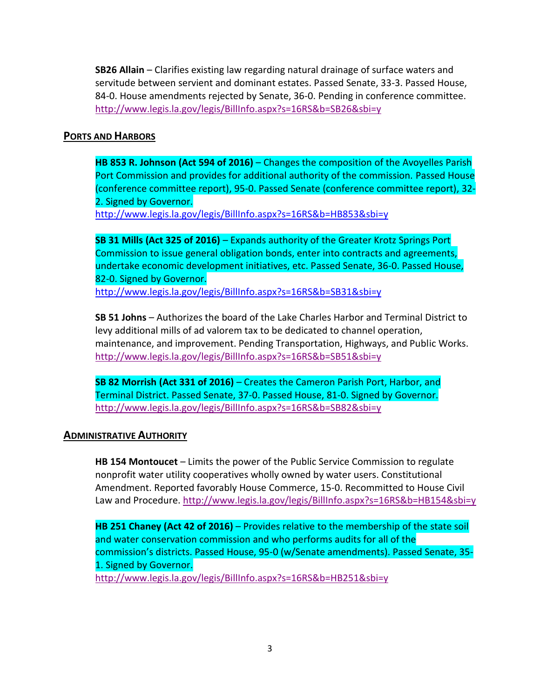**SB26 Allain** – Clarifies existing law regarding natural drainage of surface waters and servitude between servient and dominant estates. Passed Senate, 33-3. Passed House, 84-0. House amendments rejected by Senate, 36-0. Pending in conference committee. <http://www.legis.la.gov/legis/BillInfo.aspx?s=16RS&b=SB26&sbi=y>

#### **PORTS AND HARBORS**

**HB 853 R. Johnson (Act 594 of 2016)** – Changes the composition of the Avoyelles Parish Port Commission and provides for additional authority of the commission. Passed House (conference committee report), 95-0. Passed Senate (conference committee report), 32- 2. Signed by Governor. <http://www.legis.la.gov/legis/BillInfo.aspx?s=16RS&b=HB853&sbi=y>

**SB 31 Mills (Act 325 of 2016)** – Expands authority of the Greater Krotz Springs Port Commission to issue general obligation bonds, enter into contracts and agreements, undertake economic development initiatives, etc. Passed Senate, 36-0. Passed House, 82-0. Signed by Governor. <http://www.legis.la.gov/legis/BillInfo.aspx?s=16RS&b=SB31&sbi=y>

**SB 51 Johns** – Authorizes the board of the Lake Charles Harbor and Terminal District to levy additional mills of ad valorem tax to be dedicated to channel operation, maintenance, and improvement. Pending Transportation, Highways, and Public Works. <http://www.legis.la.gov/legis/BillInfo.aspx?s=16RS&b=SB51&sbi=y>

**SB 82 Morrish (Act 331 of 2016)** – Creates the Cameron Parish Port, Harbor, and Terminal District. Passed Senate, 37-0. Passed House, 81-0. Signed by Governor. <http://www.legis.la.gov/legis/BillInfo.aspx?s=16RS&b=SB82&sbi=y>

### **ADMINISTRATIVE AUTHORITY**

**HB 154 Montoucet** – Limits the power of the Public Service Commission to regulate nonprofit water utility cooperatives wholly owned by water users. Constitutional Amendment. Reported favorably House Commerce, 15-0. Recommitted to House Civil Law and Procedure. <http://www.legis.la.gov/legis/BillInfo.aspx?s=16RS&b=HB154&sbi=y>

**HB 251 Chaney (Act 42 of 2016)** – Provides relative to the membership of the state soil and water conservation commission and who performs audits for all of the commission's districts. Passed House, 95-0 (w/Senate amendments). Passed Senate, 35- 1. Signed by Governor. <http://www.legis.la.gov/legis/BillInfo.aspx?s=16RS&b=HB251&sbi=y>